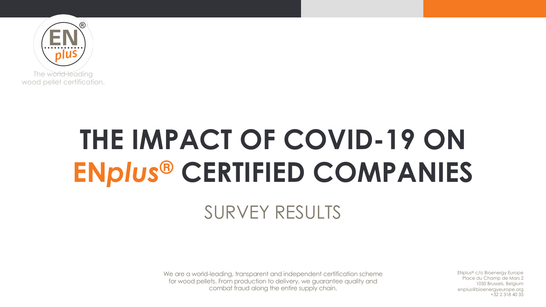

# **THE IMPACT OF COVID-19 ON EN***plus***® CERTIFIED COMPANIES**

#### SURVEY RESULTS

We are a world-leading, transparent and independent certification scheme for wood pellets. From production to delivery, we guarantee quality and combat fraud along the entire supply chain.

EN*plus*® c/o Bioenergy Europe Place du Champ de Mars 2 1050 Brussels, Belgium enplus@bioenergyeurope.org +32 2 318 40 35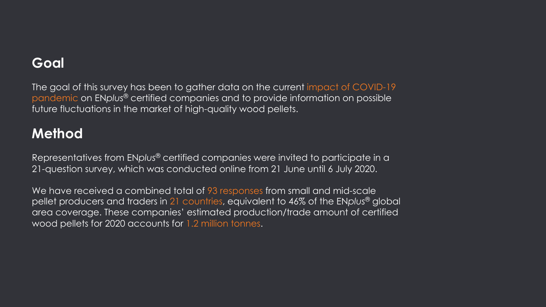#### **Goal**

The goal of this survey has been to gather data on the current impact of COVID-19 pandemic on EN*plus*® certified companies and to provide information on possible future fluctuations in the market of high-quality wood pellets.

#### **Method**

Representatives from EN*plus*® certified companies were invited to participate in a 21-question survey, which was conducted online from 21 June until 6 July 2020.

We have received a combined total of 93 responses from small and mid-scale pellet producers and traders in 21 countries, equivalent to 46% of the EN*plus*® global area coverage. These companies' estimated production/trade amount of certified wood pellets for 2020 accounts for 1.2 million tonnes.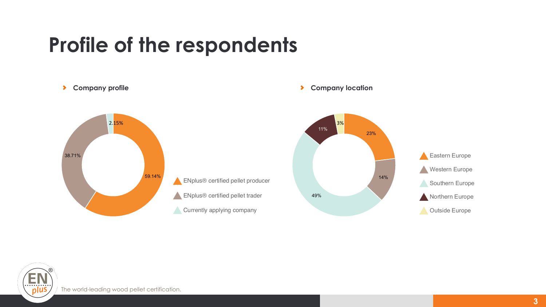## **Profile of the respondents**



#### **Company profile Company location**



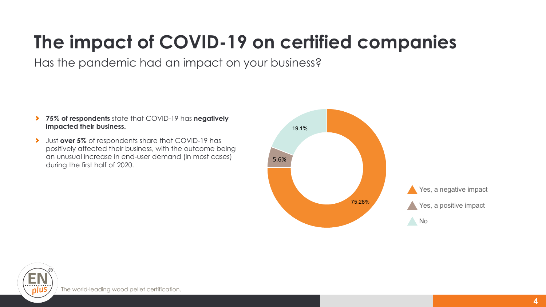### **The impact of COVID-19 on certified companies**

Has the pandemic had an impact on your business?

- **75% of respondents** state that COVID-19 has **negatively impacted their business.**
- Just **over 5%** of respondents share that COVID-19 has  $\blacktriangleright$ positively affected their business, with the outcome being an unusual increase in end-user demand (in most cases) during the first half of 2020.

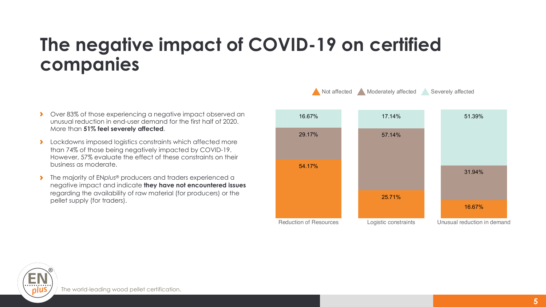#### **The negative impact of COVID-19 on certified companies**

- Over 83% of those experiencing a negative impact observed an  $\blacktriangleright$ unusual reduction in end-user demand for the first half of 2020. More than **51% feel severely affected**.
- $\blacktriangleright$ Lockdowns imposed logistics constraints which affected more than 74% of those being negatively impacted by COVID-19. However, 57% evaluate the effect of these constraints on their business as moderate.
- The majority of EN*plus*® producers and traders experienced a  $\blacktriangleright$ negative impact and indicate **they have not encountered issues** regarding the availability of raw material (for producers) or the pellet supply (for traders).



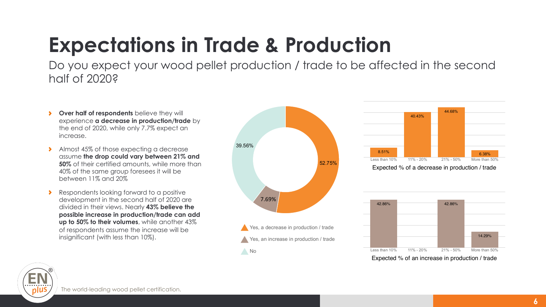# **Expectations in Trade & Production**

Do you expect your wood pellet production / trade to be affected in the second half of 2020?

- **Over half of respondents** believe they will  $\rightarrow$ experience **a decrease in production/trade** by the end of 2020, while only 7.7% expect an increase.
- Almost 45% of those expecting a decrease assume **the drop could vary between 21% and 50%** of their certified amounts, while more than 40% of the same group foresees it will be between 11% and 20%
- Respondents looking forward to a positive development in the second half of 2020 are divided in their views. Nearly **43% believe the possible increase in production/trade can add up to 50% to their volumes**, while another 43% of respondents assume the increase will be insignificant (with less than 10%).







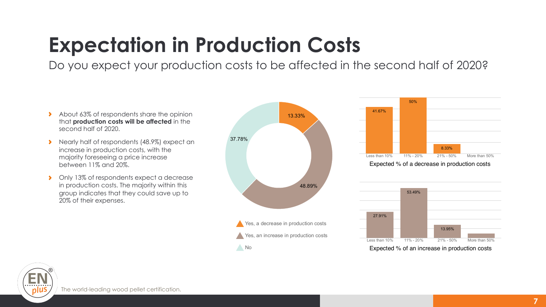# **Expectation in Production Costs**

Do you expect your production costs to be affected in the second half of 2020?

- About 63% of respondents share the opinion  $\blacktriangleright$ that **production costs will be affected** in the second half of 2020.
- Nearly half of respondents (48.9%) expect an  $\rightarrow$ increase in production costs, with the majority foreseeing a price increase between 11% and 20%.
- Only 13% of respondents expect a decrease  $\rightarrow$ in production costs. The majority within this group indicates that they could save up to 20% of their expenses.





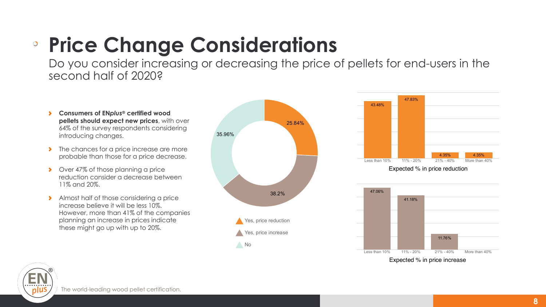#### **Price Change Considerations** 25.84% 38.2% 35.96% Yes, price reduction Yes, price increase No

Do you consider increasing or decreasing the price of pellets for end-users in the second half of 2020?

- **Consumers of EN***plus***® certified wood**   $\blacktriangleright$ **pellets should expect new prices**, with over 64% of the survey respondents considering introducing changes.
- The chances for a price increase are more probable than those for a price decrease.
- $\blacktriangleright$ Over 47% of those planning a price reduction consider a decrease between 11% and 20%.
- Almost half of those considering a price  $\blacktriangleright$ increase believe it will be less 10%. However, more than 41% of the companies planning an increase in prices indicate these might go up with up to 20%.







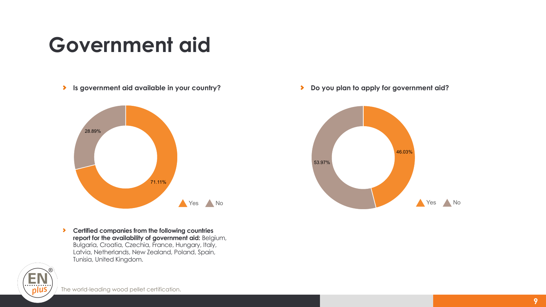# **Government aid**

**Is government aid available in your country?** Do you plan to apply for government aid?



**Certified companies from the following countries**   $\blacktriangleright$ **report for the availability of government aid:** Belgium, Bulgaria, Croatia, Czechia, France, Hungary, Italy, Latvia, Netherlands, New Zealand, Poland, Spain, Tunisia, United Kingdom.



The world-leading wood pellet certification.

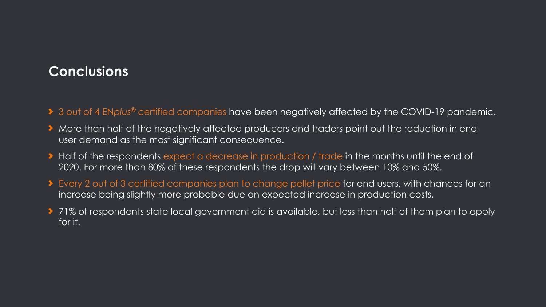#### **Conclusions**

- ◆ 3 out of 4 EN*plus<sup>®</sup>* certified companies have been negatively affected by the COVID-19 pandemic.
- More than half of the negatively affected producers and traders point out the reduction in enduser demand as the most significant consequence.
- ◆ Half of the respondents expect a decrease in production / trade in the months until the end of 2020. For more than 80% of these respondents the drop will vary between 10% and 50%.
- ◆ Every 2 out of 3 certified companies plan to change pellet price for end users, with chances for an increase being slightly more probable due an expected increase in production costs.
- ◆ 71% of respondents state local government aid is available, but less than half of them plan to apply for it.